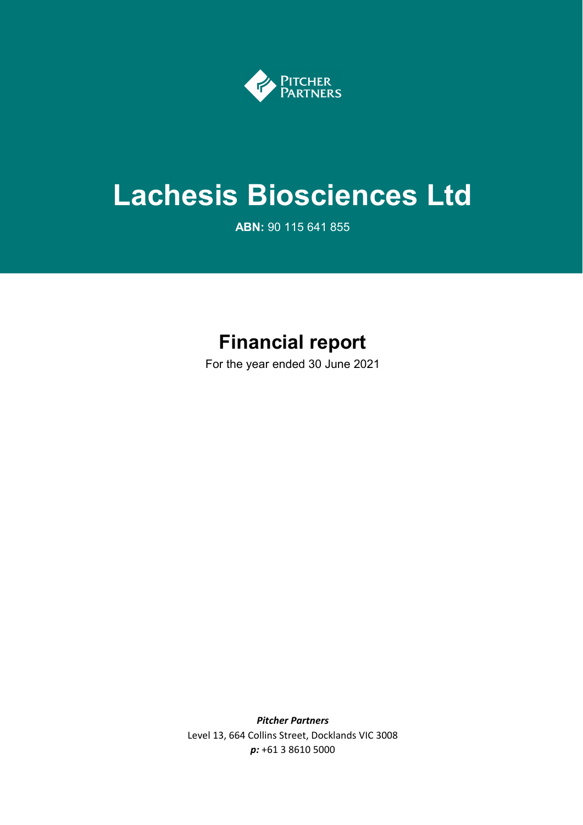

# **Lachesis Biosciences Ltd**

**ABN:** 90 115 641 855

# **Financial report**

For the year ended 30 June 2021

*Pitcher Partners* Level 13, 664 Collins Street, Docklands VIC 3008 *p:* +61 3 8610 5000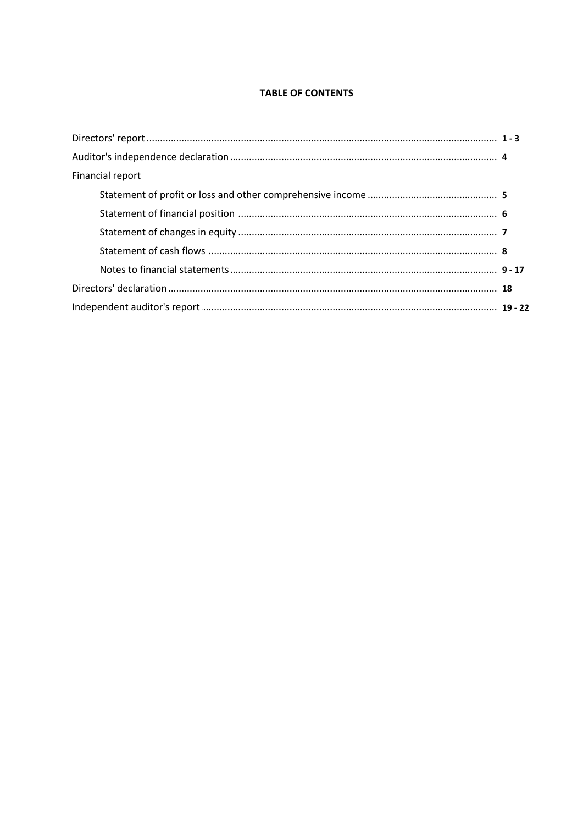# **TABLE OF CONTENTS**

| Financial report |  |
|------------------|--|
|                  |  |
|                  |  |
|                  |  |
|                  |  |
|                  |  |
|                  |  |
|                  |  |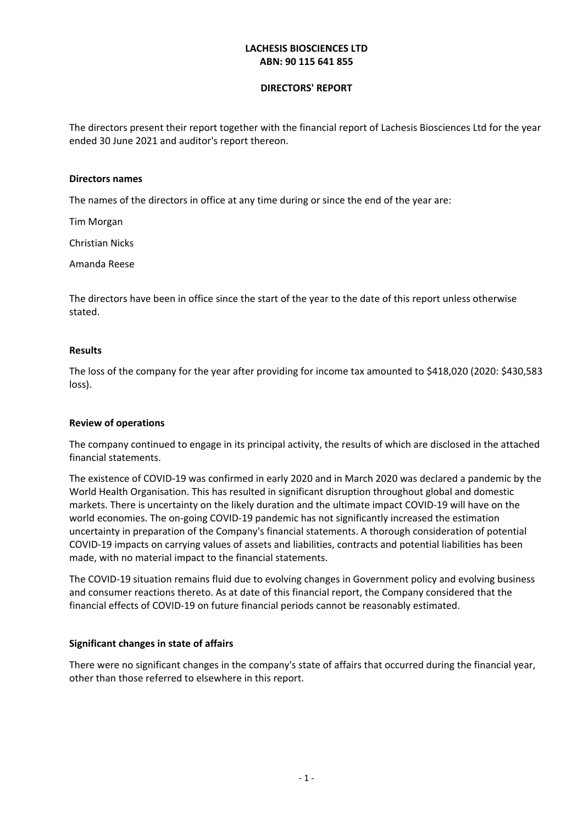### **DIRECTORS' REPORT**

The directors present their report together with the financial report of Lachesis Biosciences Ltd for the year ended 30 June 2021 and auditor's report thereon.

#### **Directors names**

The names of the directors in office at any time during or since the end of the year are:

Tim Morgan

Christian Nicks

Amanda Reese

The directors have been in office since the start of the year to the date of this report unless otherwise stated.

#### **Results**

The loss of the company for the year after providing for income tax amounted to \$418,020 (2020: \$430,583 loss).

#### **Review of operations**

The company continued to engage in its principal activity, the results of which are disclosed in the attached financial statements.

The existence of COVID-19 was confirmed in early 2020 and in March 2020 was declared a pandemic by the World Health Organisation. This has resulted in significant disruption throughout global and domestic markets. There is uncertainty on the likely duration and the ultimate impact COVID-19 will have on the world economies. The on-going COVID-19 pandemic has not significantly increased the estimation uncertainty in preparation of the Company's financial statements. A thorough consideration of potential COVID-19 impacts on carrying values of assets and liabilities, contracts and potential liabilities has been made, with no material impact to the financial statements.

The COVID-19 situation remains fluid due to evolving changes in Government policy and evolving business and consumer reactions thereto. As at date of this financial report, the Company considered that the financial effects of COVID-19 on future financial periods cannot be reasonably estimated.

#### **Significant changes in state of affairs**

There were no significant changes in the company's state of affairs that occurred during the financial year, other than those referred to elsewhere in this report.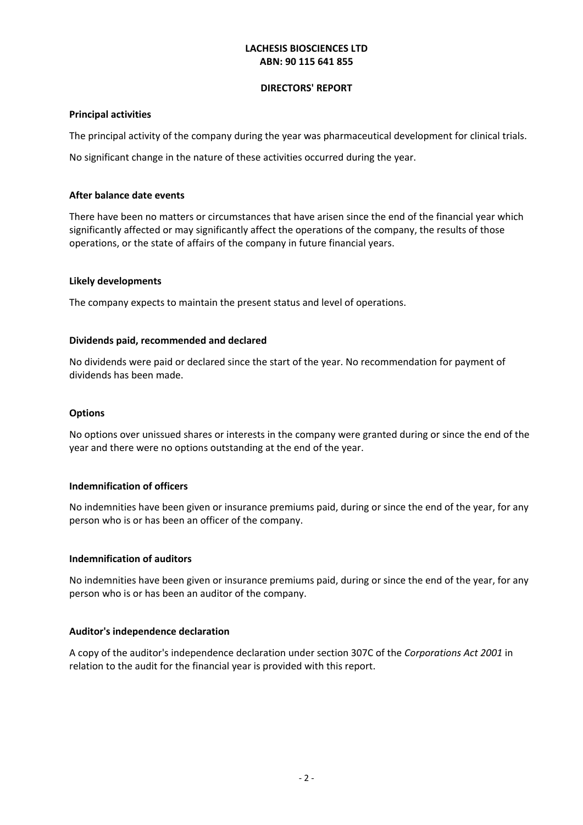#### **DIRECTORS' REPORT**

### **Principal activities**

The principal activity of the company during the year was pharmaceutical development for clinical trials.

No significant change in the nature of these activities occurred during the year.

### **After balance date events**

There have been no matters or circumstances that have arisen since the end of the financial year which significantly affected or may significantly affect the operations of the company, the results of those operations, or the state of affairs of the company in future financial years.

### **Likely developments**

The company expects to maintain the present status and level of operations.

### **Dividends paid, recommended and declared**

No dividends were paid or declared since the start of the year. No recommendation for payment of dividends has been made.

#### **Options**

No options over unissued shares or interests in the company were granted during or since the end of the year and there were no options outstanding at the end of the year.

#### **Indemnification of officers**

No indemnities have been given or insurance premiums paid, during or since the end of the year, for any person who is or has been an officer of the company.

#### **Indemnification of auditors**

No indemnities have been given or insurance premiums paid, during or since the end of the year, for any person who is or has been an auditor of the company.

#### **Auditor's independence declaration**

A copy of the auditor's independence declaration under section 307C of the *Corporations Act 2001* in relation to the audit for the financial year is provided with this report.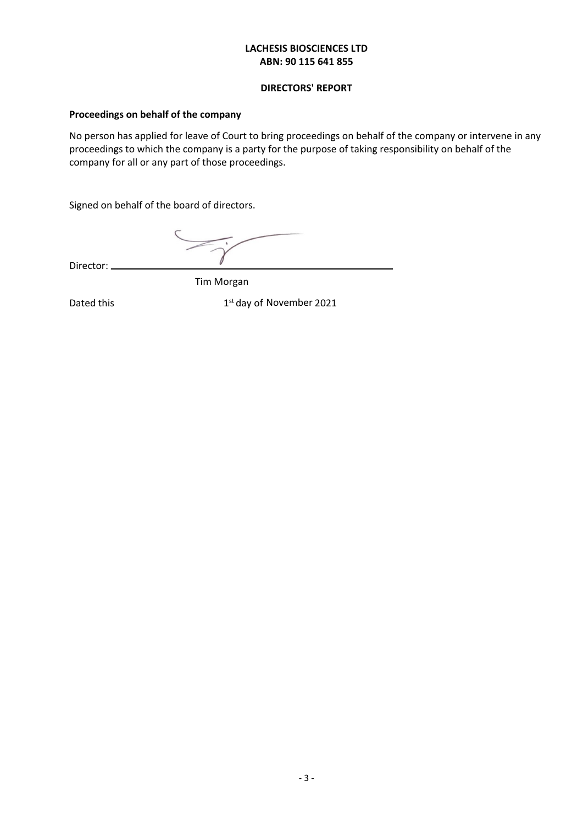#### **DIRECTORS' REPORT**

# **Proceedings on behalf of the company**

No person has applied for leave of Court to bring proceedings on behalf of the company or intervene in any proceedings to which the company is a party for the purpose of taking responsibility on behalf of the company for all or any part of those proceedings.

Signed on behalf of the board of directors.

Director:  $\equiv$ 

Tim Morgan

Dated this **EXECUTE:** 1st day of November 2021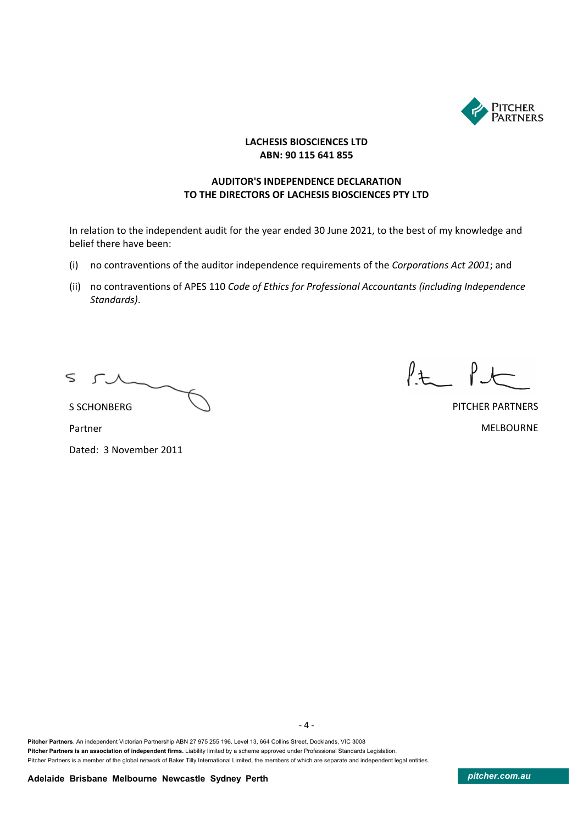

# **AUDITOR'S INDEPENDENCE DECLARATION TO THE DIRECTORS OF LACHESIS BIOSCIENCES PTY LTD**

In relation to the independent audit for the year ended 30 June 2021, to the best of my knowledge and belief there have been:

- (i) no contraventions of the auditor independence requirements of the *Corporations Act 2001*; and
- (ii) no contraventions of APES 110 *Code of Ethics for Professional Accountants (including Independence Standards)*.

 $\leq$  $\Gamma$ .  $\Lambda$ 

 $l$ t  $l$ 

PITCHER PARTNERS MELBOURNE

S SCHONBERG Partner

Dated: 3 November 2011

**Pitcher Partners**. An independent Victorian Partnership ABN 27 975 255 196. Level 13, 664 Collins Street, Docklands, VIC 3008 **Pitcher Partners is an association of independent firms.** Liability limited by a scheme approved under Professional Standards Legislation. Pitcher Partners is a member of the global network of Baker Tilly International Limited, the members of which are separate and independent legal entities.

- 4 -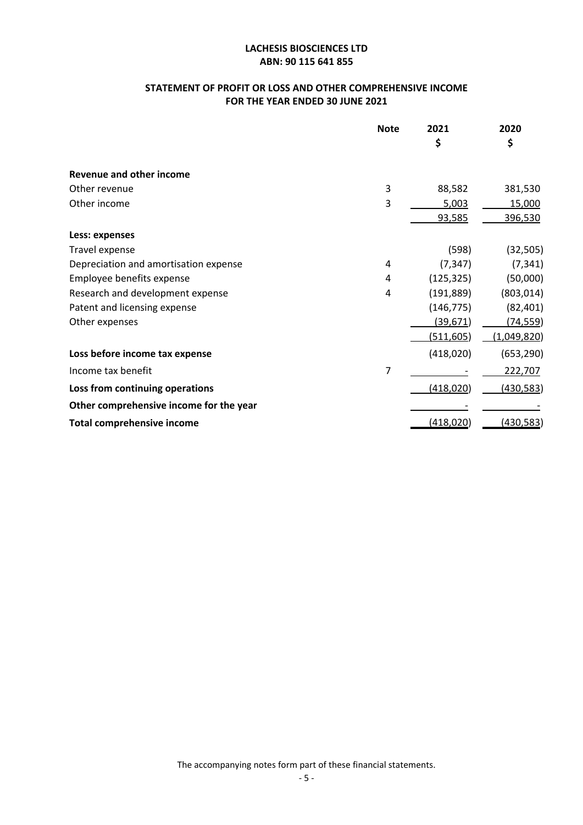# **STATEMENT OF PROFIT OR LOSS AND OTHER COMPREHENSIVE INCOME FOR THE YEAR ENDED 30 JUNE 2021**

|                                         | <b>Note</b> | 2021       | 2020        |
|-----------------------------------------|-------------|------------|-------------|
|                                         |             | \$         | \$          |
| <b>Revenue and other income</b>         |             |            |             |
| Other revenue                           | 3           | 88,582     | 381,530     |
| Other income                            | 3           | 5,003      | 15,000      |
|                                         |             | 93,585     | 396,530     |
| Less: expenses                          |             |            |             |
| Travel expense                          |             | (598)      | (32, 505)   |
| Depreciation and amortisation expense   | 4           | (7, 347)   | (7, 341)    |
| Employee benefits expense               | 4           | (125, 325) | (50,000)    |
| Research and development expense        | 4           | (191, 889) | (803, 014)  |
| Patent and licensing expense            |             | (146, 775) | (82, 401)   |
| Other expenses                          |             | (39,671)   | (74,559)    |
|                                         |             | (511, 605) | (1,049,820) |
| Loss before income tax expense          |             | (418,020)  | (653, 290)  |
| Income tax benefit                      | 7           |            | 222,707     |
| Loss from continuing operations         |             | (418, 020) | (430, 583)  |
| Other comprehensive income for the year |             |            |             |
| <b>Total comprehensive income</b>       |             | (418, 020) | (430,583)   |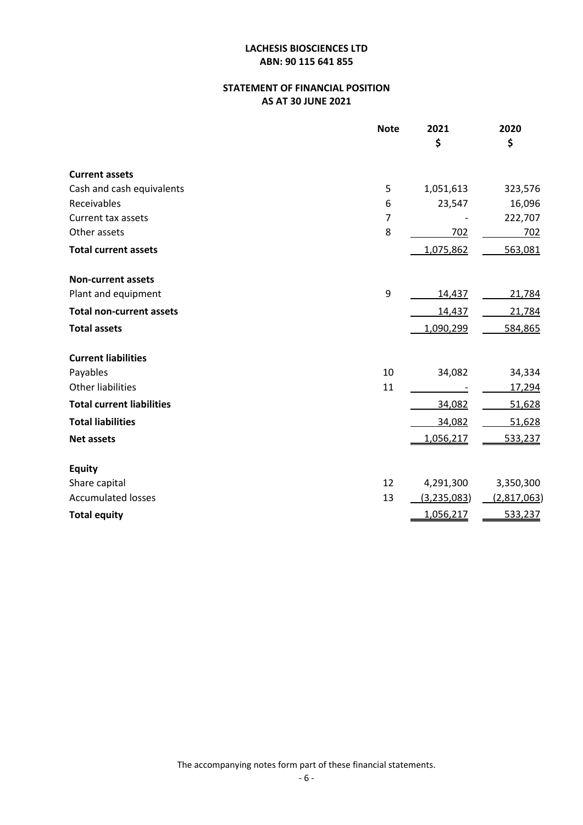# **STATEMENT OF FINANCIAL POSITION AS AT 30 JUNE 2021**

|                                  | <b>Note</b> | 2021          | 2020               |
|----------------------------------|-------------|---------------|--------------------|
|                                  |             | \$            | \$                 |
| <b>Current assets</b>            |             |               |                    |
| Cash and cash equivalents        | 5           | 1,051,613     | 323,576            |
| Receivables                      | 6           | 23,547        | 16,096             |
| Current tax assets               | 7           |               | 222,707            |
| Other assets                     | 8           | 702           | 702                |
| <b>Total current assets</b>      |             | 1,075,862     | 563,081            |
| <b>Non-current assets</b>        |             |               |                    |
| Plant and equipment              | 9           | 14,437        | 21,784             |
| <b>Total non-current assets</b>  |             | 14,437        | 21,784             |
| <b>Total assets</b>              |             | 1,090,299     | 584,865            |
| <b>Current liabilities</b>       |             |               |                    |
| Payables                         | 10          | 34,082        | 34,334             |
| <b>Other liabilities</b>         | 11          |               | 17,294             |
| <b>Total current liabilities</b> |             | 34,082        | 51,628             |
| <b>Total liabilities</b>         |             | 34,082        | 51,628             |
| <b>Net assets</b>                |             | 1,056,217     | 533,237            |
| <b>Equity</b>                    |             |               |                    |
| Share capital                    | 12          | 4,291,300     | 3,350,300          |
| <b>Accumulated losses</b>        | 13          | (3, 235, 083) | <u>(2,817,063)</u> |
| <b>Total equity</b>              |             | 1,056,217     | 533,237            |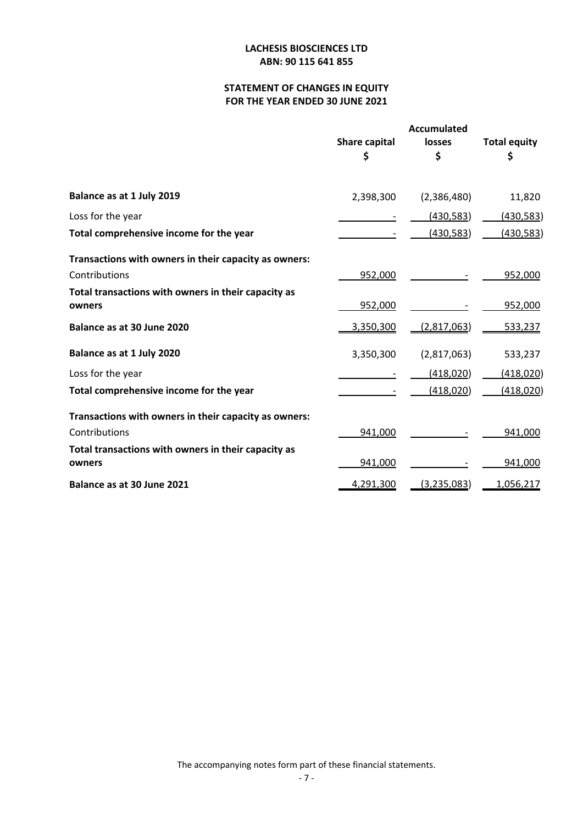# **STATEMENT OF CHANGES IN EQUITY FOR THE YEAR ENDED 30 JUNE 2021**

|                                                               | <b>Share capital</b><br>\$ | <b>Accumulated</b><br>losses<br>\$ | <b>Total equity</b><br>\$ |
|---------------------------------------------------------------|----------------------------|------------------------------------|---------------------------|
| Balance as at 1 July 2019                                     | 2,398,300                  | (2,386,480)                        | 11,820                    |
| Loss for the year                                             |                            | (430, 583)                         | (430, 583)                |
| Total comprehensive income for the year                       |                            | (430, 583)                         | (430, 583)                |
| Transactions with owners in their capacity as owners:         |                            |                                    |                           |
| Contributions                                                 | 952,000                    |                                    | 952,000                   |
| Total transactions with owners in their capacity as<br>owners | 952,000                    |                                    | 952,000                   |
| Balance as at 30 June 2020                                    | 3,350,300                  | (2,817,063)                        | 533,237                   |
| Balance as at 1 July 2020                                     | 3,350,300                  | (2,817,063)                        | 533,237                   |
| Loss for the year                                             |                            | (418,020)                          | (418, 020)                |
| Total comprehensive income for the year                       |                            | (418,020)                          | (418, 020)                |
| Transactions with owners in their capacity as owners:         |                            |                                    |                           |
| Contributions                                                 | 941,000                    |                                    | 941,000                   |
| Total transactions with owners in their capacity as<br>owners | 941,000                    |                                    | 941,000                   |
| Balance as at 30 June 2021                                    | 4,291,300                  | (3,235,083)                        | 1,056,217                 |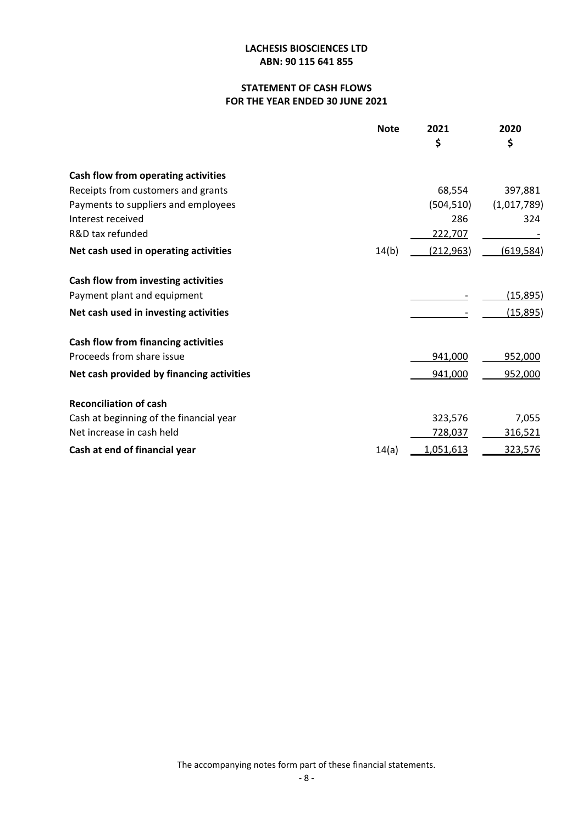# **STATEMENT OF CASH FLOWS FOR THE YEAR ENDED 30 JUNE 2021**

|                                            | <b>Note</b> | 2021           | 2020            |
|--------------------------------------------|-------------|----------------|-----------------|
|                                            |             | \$             | \$              |
| Cash flow from operating activities        |             |                |                 |
| Receipts from customers and grants         |             | 68,554         | 397,881         |
| Payments to suppliers and employees        |             | (504, 510)     | (1,017,789)     |
| Interest received                          |             | 286            | 324             |
| R&D tax refunded                           |             | 222,707        |                 |
| Net cash used in operating activities      | 14(b)       | (212, 963)     | (619, 584)      |
| Cash flow from investing activities        |             |                |                 |
| Payment plant and equipment                |             |                | <u>(15,895)</u> |
| Net cash used in investing activities      |             |                | <u>(15,895)</u> |
| <b>Cash flow from financing activities</b> |             |                |                 |
| Proceeds from share issue                  |             | 941,000        | 952,000         |
| Net cash provided by financing activities  |             | 941,000        | 952,000         |
| <b>Reconciliation of cash</b>              |             |                |                 |
| Cash at beginning of the financial year    |             | 323,576        | 7,055           |
| Net increase in cash held                  |             | <u>728,037</u> | 316,521         |
| Cash at end of financial year              | 14(a)       | 1,051,613      | 323,576         |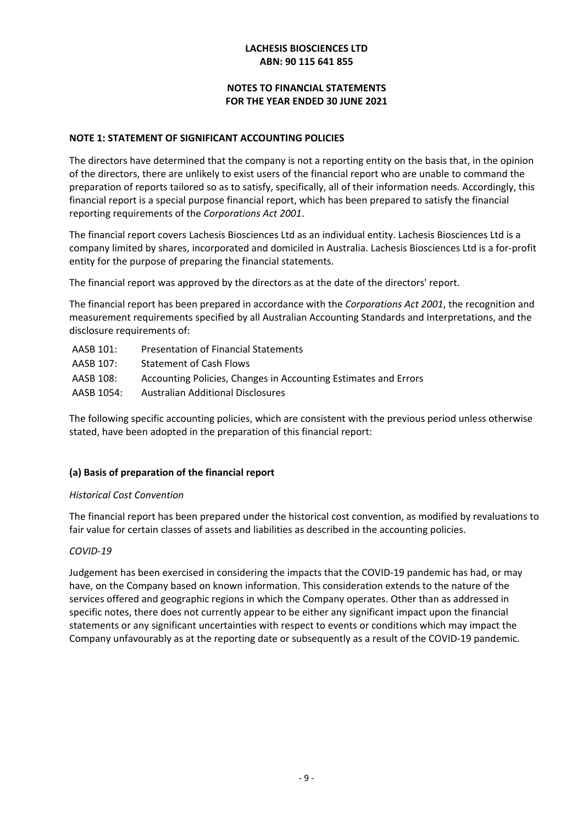# **NOTES TO FINANCIAL STATEMENTS FOR THE YEAR ENDED 30 JUNE 2021**

### **NOTE 1: STATEMENT OF SIGNIFICANT ACCOUNTING POLICIES**

The directors have determined that the company is not a reporting entity on the basis that, in the opinion of the directors, there are unlikely to exist users of the financial report who are unable to command the preparation of reports tailored so as to satisfy, specifically, all of their information needs. Accordingly, this financial report is a special purpose financial report, which has been prepared to satisfy the financial reporting requirements of the *Corporations Act 2001*.

The financial report covers Lachesis Biosciences Ltd as an individual entity. Lachesis Biosciences Ltd is a company limited by shares, incorporated and domiciled in Australia. Lachesis Biosciences Ltd is a for-profit entity for the purpose of preparing the financial statements.

The financial report was approved by the directors as at the date of the directors' report.

The financial report has been prepared in accordance with the *Corporations Act 2001*, the recognition and measurement requirements specified by all Australian Accounting Standards and Interpretations, and the disclosure requirements of:

| <b>Presentation of Financial Statements</b>                     |
|-----------------------------------------------------------------|
| <b>Statement of Cash Flows</b>                                  |
| Accounting Policies, Changes in Accounting Estimates and Errors |
| Australian Additional Disclosures                               |
|                                                                 |

The following specific accounting policies, which are consistent with the previous period unless otherwise stated, have been adopted in the preparation of this financial report:

# **(a) Basis of preparation of the financial report**

#### *Historical Cost Convention*

The financial report has been prepared under the historical cost convention, as modified by revaluations to fair value for certain classes of assets and liabilities as described in the accounting policies.

#### *COVID-19*

Judgement has been exercised in considering the impacts that the COVID-19 pandemic has had, or may have, on the Company based on known information. This consideration extends to the nature of the services offered and geographic regions in which the Company operates. Other than as addressed in specific notes, there does not currently appear to be either any significant impact upon the financial statements or any significant uncertainties with respect to events or conditions which may impact the Company unfavourably as at the reporting date or subsequently as a result of the COVID-19 pandemic.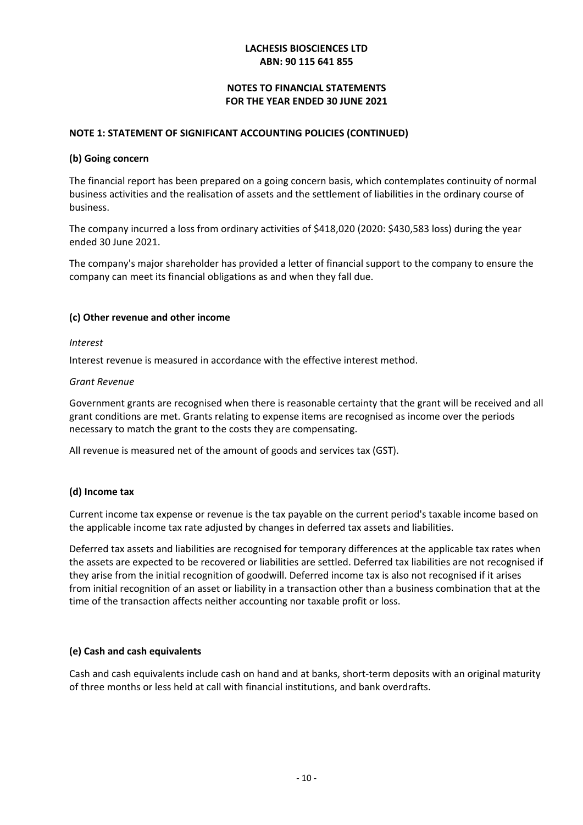# **NOTES TO FINANCIAL STATEMENTS FOR THE YEAR ENDED 30 JUNE 2021**

### **NOTE 1: STATEMENT OF SIGNIFICANT ACCOUNTING POLICIES (CONTINUED)**

#### **(b) Going concern**

The financial report has been prepared on a going concern basis, which contemplates continuity of normal business activities and the realisation of assets and the settlement of liabilities in the ordinary course of business.

The company incurred a loss from ordinary activities of \$418,020 (2020: \$430,583 loss) during the year ended 30 June 2021.

The company's major shareholder has provided a letter of financial support to the company to ensure the company can meet its financial obligations as and when they fall due.

### **(c) Other revenue and other income**

#### *Interest*

Interest revenue is measured in accordance with the effective interest method.

#### *Grant Revenue*

Government grants are recognised when there is reasonable certainty that the grant will be received and all grant conditions are met. Grants relating to expense items are recognised as income over the periods necessary to match the grant to the costs they are compensating.

All revenue is measured net of the amount of goods and services tax (GST).

# **(d) Income tax**

Current income tax expense or revenue is the tax payable on the current period's taxable income based on the applicable income tax rate adjusted by changes in deferred tax assets and liabilities.

Deferred tax assets and liabilities are recognised for temporary differences at the applicable tax rates when the assets are expected to be recovered or liabilities are settled. Deferred tax liabilities are not recognised if they arise from the initial recognition of goodwill. Deferred income tax is also not recognised if it arises from initial recognition of an asset or liability in a transaction other than a business combination that at the time of the transaction affects neither accounting nor taxable profit or loss.

# **(e) Cash and cash equivalents**

Cash and cash equivalents include cash on hand and at banks, short-term deposits with an original maturity of three months or less held at call with financial institutions, and bank overdrafts.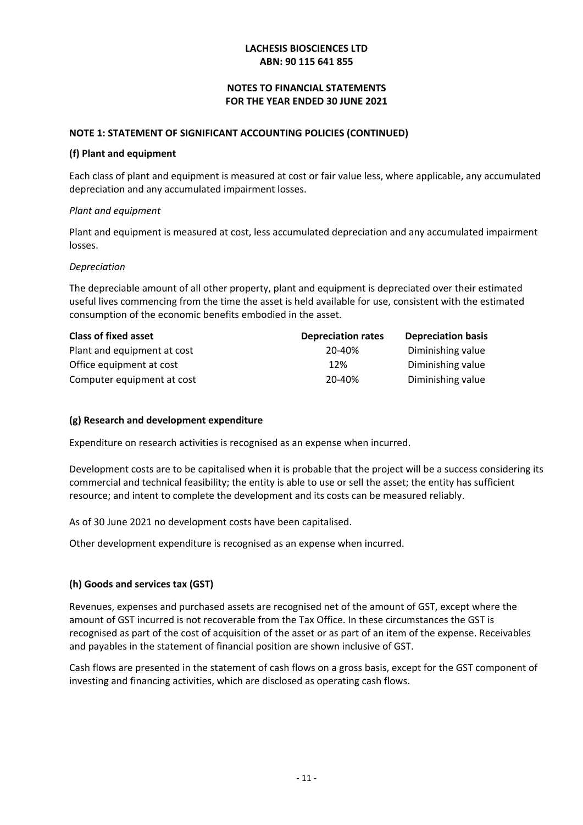# **NOTES TO FINANCIAL STATEMENTS FOR THE YEAR ENDED 30 JUNE 2021**

#### **NOTE 1: STATEMENT OF SIGNIFICANT ACCOUNTING POLICIES (CONTINUED)**

#### **(f) Plant and equipment**

Each class of plant and equipment is measured at cost or fair value less, where applicable, any accumulated depreciation and any accumulated impairment losses.

#### *Plant and equipment*

Plant and equipment is measured at cost, less accumulated depreciation and any accumulated impairment losses.

### *Depreciation*

The depreciable amount of all other property, plant and equipment is depreciated over their estimated useful lives commencing from the time the asset is held available for use, consistent with the estimated consumption of the economic benefits embodied in the asset.

| <b>Class of fixed asset</b> | <b>Depreciation rates</b> | <b>Depreciation basis</b> |
|-----------------------------|---------------------------|---------------------------|
| Plant and equipment at cost | 20-40%                    | Diminishing value         |
| Office equipment at cost    | 12%                       | Diminishing value         |
| Computer equipment at cost  | 20-40%                    | Diminishing value         |

# **(g) Research and development expenditure**

Expenditure on research activities is recognised as an expense when incurred.

Development costs are to be capitalised when it is probable that the project will be a success considering its commercial and technical feasibility; the entity is able to use or sell the asset; the entity has sufficient resource; and intent to complete the development and its costs can be measured reliably.

As of 30 June 2021 no development costs have been capitalised.

Other development expenditure is recognised as an expense when incurred.

# **(h) Goods and services tax (GST)**

Revenues, expenses and purchased assets are recognised net of the amount of GST, except where the amount of GST incurred is not recoverable from the Tax Office. In these circumstances the GST is recognised as part of the cost of acquisition of the asset or as part of an item of the expense. Receivables and payables in the statement of financial position are shown inclusive of GST.

Cash flows are presented in the statement of cash flows on a gross basis, except for the GST component of investing and financing activities, which are disclosed as operating cash flows.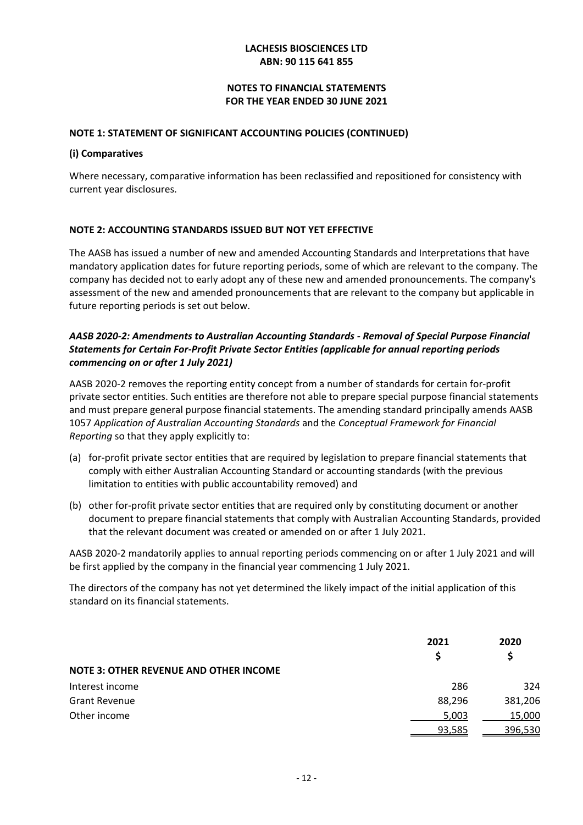# **NOTES TO FINANCIAL STATEMENTS FOR THE YEAR ENDED 30 JUNE 2021**

#### **NOTE 1: STATEMENT OF SIGNIFICANT ACCOUNTING POLICIES (CONTINUED)**

#### **(i) Comparatives**

Where necessary, comparative information has been reclassified and repositioned for consistency with current year disclosures.

### **NOTE 2: ACCOUNTING STANDARDS ISSUED BUT NOT YET EFFECTIVE**

The AASB has issued a number of new and amended Accounting Standards and Interpretations that have mandatory application dates for future reporting periods, some of which are relevant to the company. The company has decided not to early adopt any of these new and amended pronouncements. The company's assessment of the new and amended pronouncements that are relevant to the company but applicable in future reporting periods is set out below.

# *AASB 2020-2: Amendments to Australian Accounting Standards - Removal of Special Purpose Financial Statements for Certain For-Profit Private Sector Entities (applicable for annual reporting periods commencing on or after 1 July 2021)*

AASB 2020-2 removes the reporting entity concept from a number of standards for certain for-profit private sector entities. Such entities are therefore not able to prepare special purpose financial statements and must prepare general purpose financial statements. The amending standard principally amends AASB 1057 *Application of Australian Accounting Standards* and the *Conceptual Framework for Financial Reporting* so that they apply explicitly to:

- (a) for-profit private sector entities that are required by legislation to prepare financial statements that comply with either Australian Accounting Standard or accounting standards (with the previous limitation to entities with public accountability removed) and
- (b) other for-profit private sector entities that are required only by constituting document or another document to prepare financial statements that comply with Australian Accounting Standards, provided that the relevant document was created or amended on or after 1 July 2021.

AASB 2020-2 mandatorily applies to annual reporting periods commencing on or after 1 July 2021 and will be first applied by the company in the financial year commencing 1 July 2021.

The directors of the company has not yet determined the likely impact of the initial application of this standard on its financial statements.

|                                               | 2021<br>S | 2020<br>Ś |
|-----------------------------------------------|-----------|-----------|
| <b>NOTE 3: OTHER REVENUE AND OTHER INCOME</b> |           |           |
| Interest income                               | 286       | 324       |
| <b>Grant Revenue</b>                          | 88,296    | 381,206   |
| Other income                                  | 5,003     | 15,000    |
|                                               | 93,585    | 396,530   |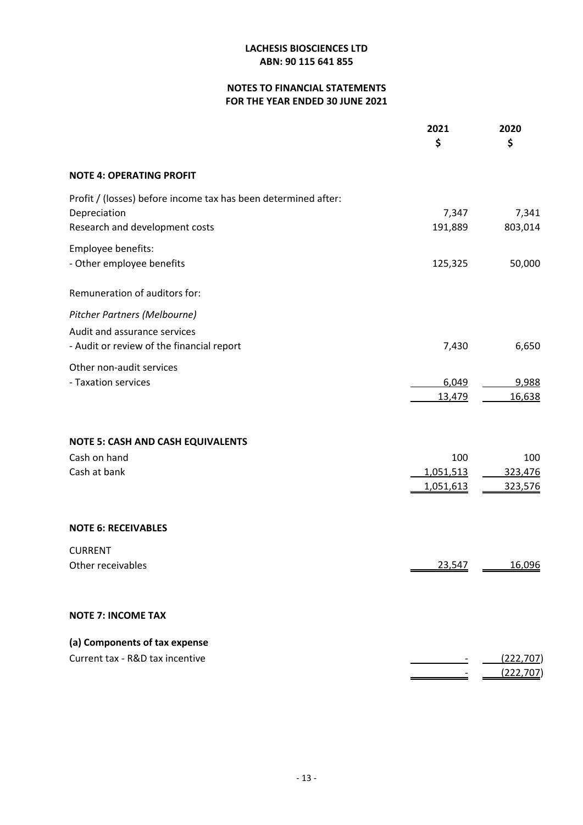# **NOTES TO FINANCIAL STATEMENTS FOR THE YEAR ENDED 30 JUNE 2021**

|                                                                | 2021<br>\$ | 2020<br>\$       |
|----------------------------------------------------------------|------------|------------------|
| <b>NOTE 4: OPERATING PROFIT</b>                                |            |                  |
| Profit / (losses) before income tax has been determined after: |            |                  |
| Depreciation                                                   | 7,347      | 7,341            |
| Research and development costs                                 | 191,889    | 803,014          |
| Employee benefits:                                             |            |                  |
| - Other employee benefits                                      | 125,325    | 50,000           |
| Remuneration of auditors for:                                  |            |                  |
| Pitcher Partners (Melbourne)                                   |            |                  |
| Audit and assurance services                                   |            |                  |
| - Audit or review of the financial report                      | 7,430      | 6,650            |
| Other non-audit services                                       |            |                  |
| - Taxation services                                            | 6,049      | 9,988            |
|                                                                | 13,479     | 16,638           |
| <b>NOTE 5: CASH AND CASH EQUIVALENTS</b>                       |            |                  |
| Cash on hand                                                   | 100        | 100              |
| Cash at bank                                                   | 1,051,513  | 323,476          |
|                                                                | 1,051,613  | 323,576          |
| <b>NOTE 6: RECEIVABLES</b>                                     |            |                  |
|                                                                |            |                  |
| <b>CURRENT</b><br>Other receivables                            | 23,547     | 16,096           |
|                                                                |            |                  |
| <b>NOTE 7: INCOME TAX</b>                                      |            |                  |
| (a) Components of tax expense                                  |            |                  |
| Current tax - R&D tax incentive                                |            | <u>(222,707)</u> |
|                                                                |            | <u>(222,707)</u> |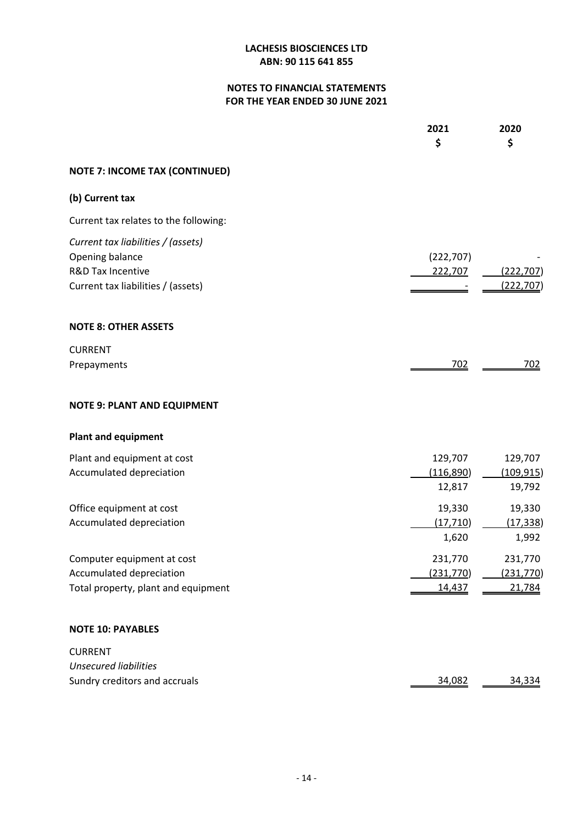# **NOTES TO FINANCIAL STATEMENTS FOR THE YEAR ENDED 30 JUNE 2021**

|                                                                                                                             | 2021<br>\$                     | 2020<br>\$                      |
|-----------------------------------------------------------------------------------------------------------------------------|--------------------------------|---------------------------------|
| <b>NOTE 7: INCOME TAX (CONTINUED)</b>                                                                                       |                                |                                 |
| (b) Current tax                                                                                                             |                                |                                 |
| Current tax relates to the following:                                                                                       |                                |                                 |
| Current tax liabilities / (assets)<br>Opening balance<br><b>R&amp;D Tax Incentive</b><br>Current tax liabilities / (assets) | (222, 707)<br>222,707          | (222, 707)<br>(222, 707)        |
| <b>NOTE 8: OTHER ASSETS</b>                                                                                                 |                                |                                 |
| <b>CURRENT</b><br>Prepayments                                                                                               | <u>702</u>                     | <u>702</u>                      |
| <b>NOTE 9: PLANT AND EQUIPMENT</b>                                                                                          |                                |                                 |
| <b>Plant and equipment</b>                                                                                                  |                                |                                 |
| Plant and equipment at cost<br>Accumulated depreciation                                                                     | 129,707<br>(116,890)<br>12,817 | 129,707<br>(109, 915)<br>19,792 |
| Office equipment at cost<br>Accumulated depreciation                                                                        | 19,330<br>(17, 710)<br>1,620   | 19,330<br>(17, 338)<br>1,992    |
| Computer equipment at cost<br>Accumulated depreciation<br>Total property, plant and equipment                               | 231,770<br>(231,770)<br>14,437 | 231,770<br>(231, 770)<br>21,784 |
| <b>NOTE 10: PAYABLES</b>                                                                                                    |                                |                                 |
| <b>CURRENT</b><br><b>Unsecured liabilities</b><br>Sundry creditors and accruals                                             | 34,082                         | 34,334                          |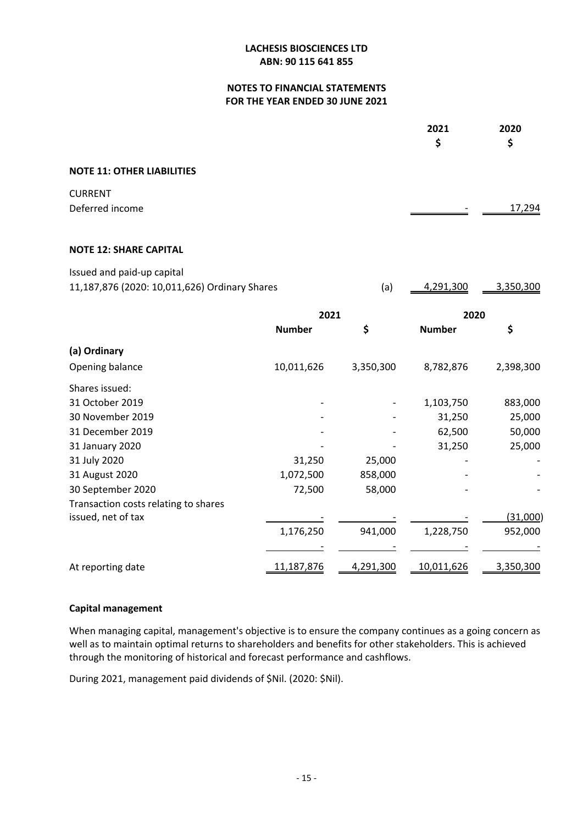# **NOTES TO FINANCIAL STATEMENTS FOR THE YEAR ENDED 30 JUNE 2021**

|                                               |               |              | 2021<br>\$    | 2020<br>\$ |
|-----------------------------------------------|---------------|--------------|---------------|------------|
| <b>NOTE 11: OTHER LIABILITIES</b>             |               |              |               |            |
| <b>CURRENT</b>                                |               |              |               |            |
| Deferred income                               |               |              |               | 17,294     |
| <b>NOTE 12: SHARE CAPITAL</b>                 |               |              |               |            |
| Issued and paid-up capital                    |               |              |               |            |
| 11,187,876 (2020: 10,011,626) Ordinary Shares |               | (a)          | 4,291,300     | 3,350,300  |
|                                               |               | 2021<br>2020 |               |            |
|                                               | <b>Number</b> | \$           | <b>Number</b> | \$         |
| (a) Ordinary                                  |               |              |               |            |
| Opening balance                               | 10,011,626    | 3,350,300    | 8,782,876     | 2,398,300  |
| Shares issued:                                |               |              |               |            |
| 31 October 2019                               |               |              | 1,103,750     | 883,000    |
| 30 November 2019                              |               |              | 31,250        | 25,000     |
| 31 December 2019                              |               |              | 62,500        | 50,000     |
| 31 January 2020                               |               |              | 31,250        | 25,000     |
| 31 July 2020                                  | 31,250        | 25,000       |               |            |
| 31 August 2020                                | 1,072,500     | 858,000      |               |            |
| 30 September 2020                             | 72,500        | 58,000       |               |            |
| Transaction costs relating to shares          |               |              |               |            |
| issued, net of tax                            |               |              |               | (31,000)   |
|                                               | 1,176,250     | 941,000      | 1,228,750     | 952,000    |
|                                               |               |              |               |            |
| At reporting date                             | 11,187,876    | 4,291,300    | 10,011,626    | 3,350,300  |

#### **Capital management**

When managing capital, management's objective is to ensure the company continues as a going concern as well as to maintain optimal returns to shareholders and benefits for other stakeholders. This is achieved through the monitoring of historical and forecast performance and cashflows.

During 2021, management paid dividends of \$Nil. (2020: \$Nil).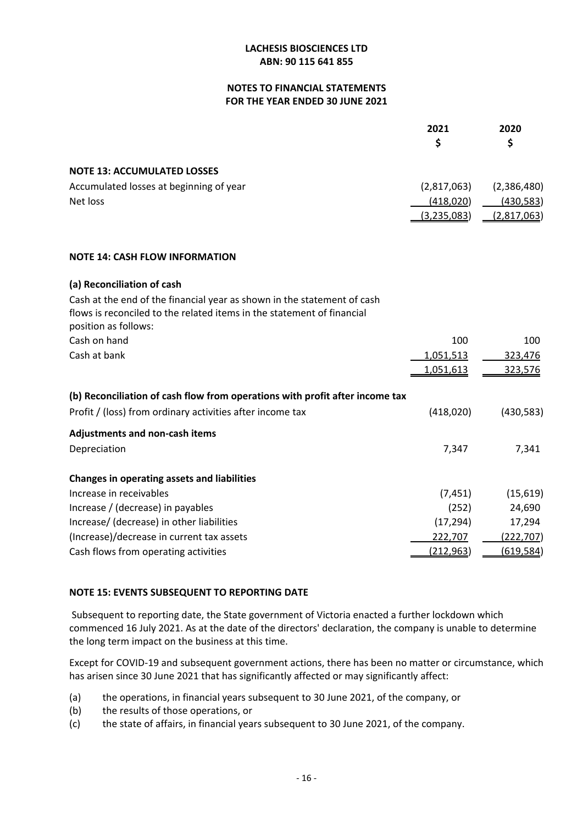#### **NOTES TO FINANCIAL STATEMENTS FOR THE YEAR ENDED 30 JUNE 2021**

|                                         | 2021        | 2020<br>S   |
|-----------------------------------------|-------------|-------------|
|                                         |             |             |
| <b>NOTE 13: ACCUMULATED LOSSES</b>      |             |             |
| Accumulated losses at beginning of year | (2,817,063) | (2,386,480) |
| Net loss                                | (418,020)   | (430,583)   |
|                                         | (3,235,083) | (2,817,063) |

### **NOTE 14: CASH FLOW INFORMATION**

### **(a) Reconciliation of cash**

| Cash at the end of the financial year as shown in the statement of cash      |                  |                  |
|------------------------------------------------------------------------------|------------------|------------------|
| flows is reconciled to the related items in the statement of financial       |                  |                  |
| position as follows:                                                         |                  |                  |
| Cash on hand                                                                 | 100              | 100              |
| Cash at bank                                                                 | 1,051,513        | 323,476          |
|                                                                              | 1,051,613        | 323,576          |
| (b) Reconciliation of cash flow from operations with profit after income tax |                  |                  |
| Profit / (loss) from ordinary activities after income tax                    | (418,020)        | (430, 583)       |
| <b>Adjustments and non-cash items</b>                                        |                  |                  |
| Depreciation                                                                 | 7,347            | 7,341            |
| <b>Changes in operating assets and liabilities</b>                           |                  |                  |
| Increase in receivables                                                      | (7, 451)         | (15, 619)        |
| Increase / (decrease) in payables                                            | (252)            | 24,690           |
| Increase/ (decrease) in other liabilities                                    | (17, 294)        | 17,294           |
| (Increase)/decrease in current tax assets                                    | 222,707          | <u>(222,707)</u> |
| Cash flows from operating activities                                         | <u>(212,963)</u> | (619,584)        |

# **NOTE 15: EVENTS SUBSEQUENT TO REPORTING DATE**

 Subsequent to reporting date, the State government of Victoria enacted a further lockdown which commenced 16 July 2021. As at the date of the directors' declaration, the company is unable to determine the long term impact on the business at this time.

Except for COVID-19 and subsequent government actions, there has been no matter or circumstance, which has arisen since 30 June 2021 that has significantly affected or may significantly affect:

- (a) the operations, in financial years subsequent to 30 June 2021, of the company, or
- (b) the results of those operations, or
- (c) the state of affairs, in financial years subsequent to 30 June 2021, of the company.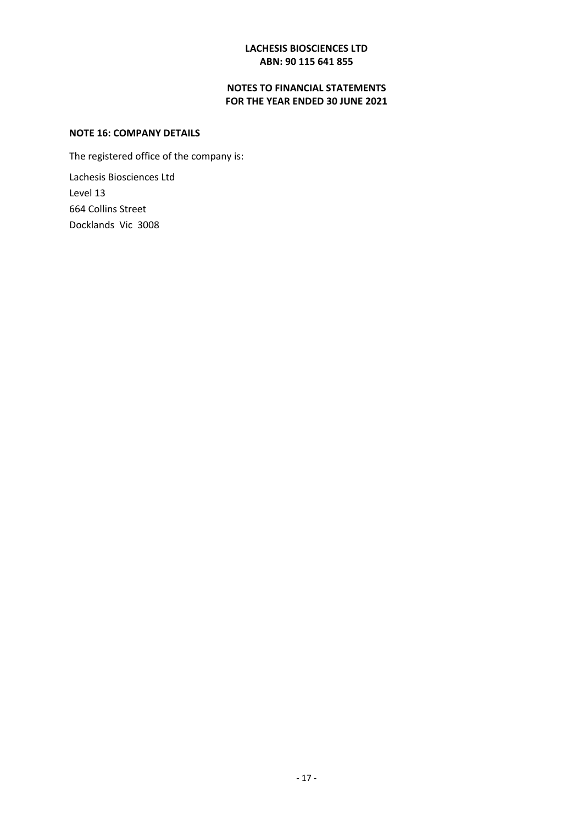# **NOTES TO FINANCIAL STATEMENTS FOR THE YEAR ENDED 30 JUNE 2021**

#### **NOTE 16: COMPANY DETAILS**

The registered office of the company is:

Lachesis Biosciences Ltd Level 13 664 Collins Street Docklands Vic 3008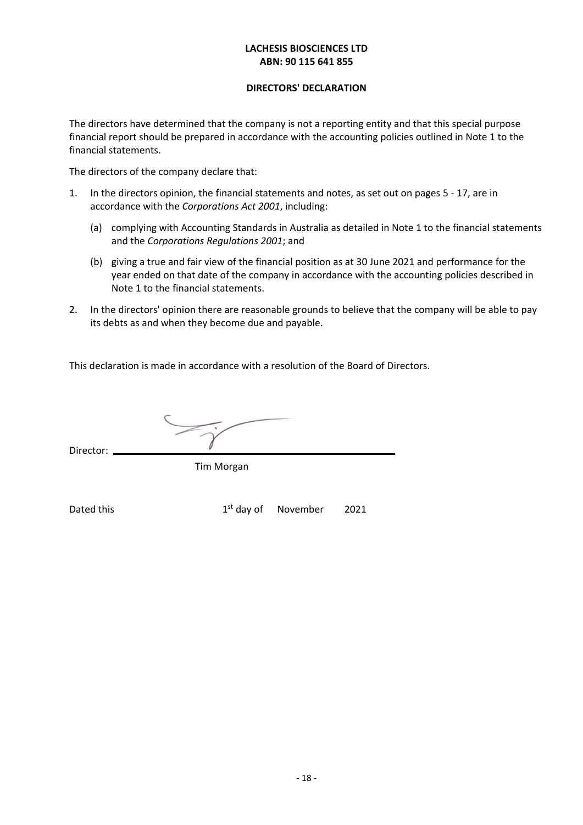#### **DIRECTORS' DECLARATION**

The directors have determined that the company is not a reporting entity and that this special purpose financial report should be prepared in accordance with the accounting policies outlined in Note 1 to the financial statements.

The directors of the company declare that:

- 1. In the directors opinion, the financial statements and notes, as set out on pages 5 17, are in accordance with the *Corporations Act 2001*, including:
	- (a) complying with Accounting Standards in Australia as detailed in Note 1 to the financial statements and the *Corporations Regulations 2001*; and
	- (b) giving a true and fair view of the financial position as at 30 June 2021 and performance for the year ended on that date of the company in accordance with the accounting policies described in Note 1 to the financial statements.
- 2. In the directors' opinion there are reasonable grounds to believe that the company will be able to pay its debts as and when they become due and payable.

This declaration is made in accordance with a resolution of the Board of Directors.

Director: <sub>-</sub>

Tim Morgan

Dated this extended the state of the 2021 of the 2021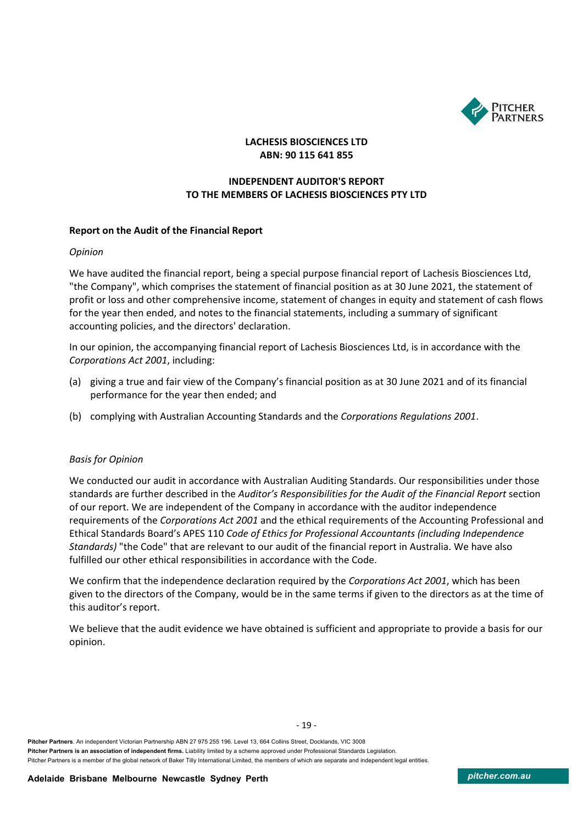

# **INDEPENDENT AUDITOR'S REPORT TO THE MEMBERS OF LACHESIS BIOSCIENCES PTY LTD**

#### **Report on the Audit of the Financial Report**

#### *Opinion*

We have audited the financial report, being a special purpose financial report of Lachesis Biosciences Ltd, "the Company", which comprises the statement of financial position as at 30 June 2021, the statement of profit or loss and other comprehensive income, statement of changes in equity and statement of cash flows for the year then ended, and notes to the financial statements, including a summary of significant accounting policies, and the directors' declaration.

In our opinion, the accompanying financial report of Lachesis Biosciences Ltd, is in accordance with the *Corporations Act 2001*, including:

- (a) giving a true and fair view of the Company's financial position as at 30 June 2021 and of its financial performance for the year then ended; and
- (b) complying with Australian Accounting Standards and the *Corporations Regulations 2001*.

#### *Basis for Opinion*

We conducted our audit in accordance with Australian Auditing Standards. Our responsibilities under those standards are further described in the *Auditor's Responsibilities for the Audit of the Financial Report* section of our report. We are independent of the Company in accordance with the auditor independence requirements of the *Corporations Act 2001* and the ethical requirements of the Accounting Professional and Ethical Standards Board's APES 110 *Code of Ethics for Professional Accountants (including Independence Standards)* "the Code" that are relevant to our audit of the financial report in Australia. We have also fulfilled our other ethical responsibilities in accordance with the Code.

We confirm that the independence declaration required by the *Corporations Act 2001*, which has been given to the directors of the Company, would be in the same terms if given to the directors as at the time of this auditor's report.

We believe that the audit evidence we have obtained is sufficient and appropriate to provide a basis for our opinion.

- 19 -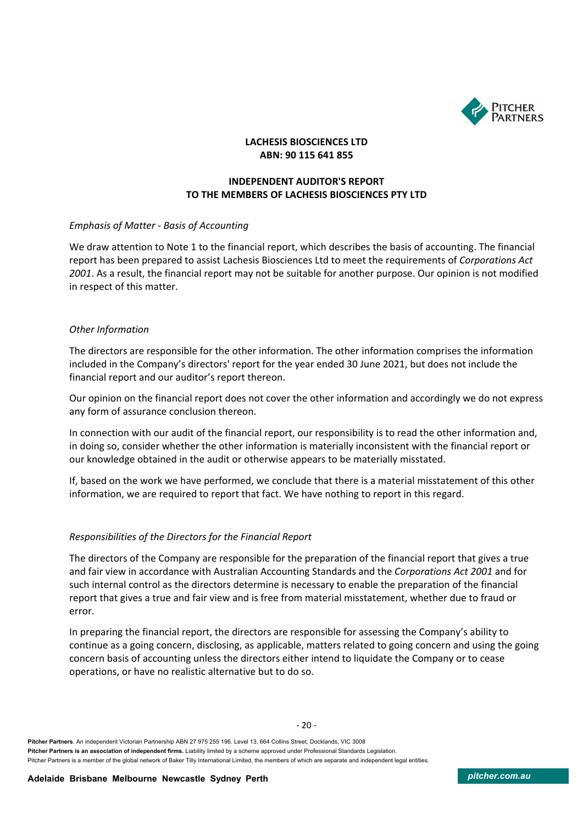

# **INDEPENDENT AUDITOR'S REPORT TO THE MEMBERS OF LACHESIS BIOSCIENCES PTY LTD**

#### *Emphasis of Matter - Basis of Accounting*

We draw attention to Note 1 to the financial report, which describes the basis of accounting. The financial report has been prepared to assist Lachesis Biosciences Ltd to meet the requirements of *Corporations Act 2001*. As a result, the financial report may not be suitable for another purpose. Our opinion is not modified in respect of this matter.

#### *Other Information*

The directors are responsible for the other information. The other information comprises the information included in the Company's directors' report for the year ended 30 June 2021, but does not include the financial report and our auditor's report thereon.

Our opinion on the financial report does not cover the other information and accordingly we do not express any form of assurance conclusion thereon.

In connection with our audit of the financial report, our responsibility is to read the other information and, in doing so, consider whether the other information is materially inconsistent with the financial report or our knowledge obtained in the audit or otherwise appears to be materially misstated.

If, based on the work we have performed, we conclude that there is a material misstatement of this other information, we are required to report that fact. We have nothing to report in this regard.

#### *Responsibilities of the Directors for the Financial Report*

The directors of the Company are responsible for the preparation of the financial report that gives a true and fair view in accordance with Australian Accounting Standards and the *Corporations Act 2001* and for such internal control as the directors determine is necessary to enable the preparation of the financial report that gives a true and fair view and is free from material misstatement, whether due to fraud or error.

In preparing the financial report, the directors are responsible for assessing the Company's ability to continue as a going concern, disclosing, as applicable, matters related to going concern and using the going concern basis of accounting unless the directors either intend to liquidate the Company or to cease operations, or have no realistic alternative but to do so.

**Pitcher Partners**. An independent Victorian Partnership ABN 27 975 255 196. Level 13, 664 Collins Street, Docklands, VIC 3008 **Pitcher Partners is an association of independent firms.** Liability limited by a scheme approved under Professional Standards Legislation. Pitcher Partners is a member of the global network of Baker Tilly International Limited, the members of which are separate and independent legal entities.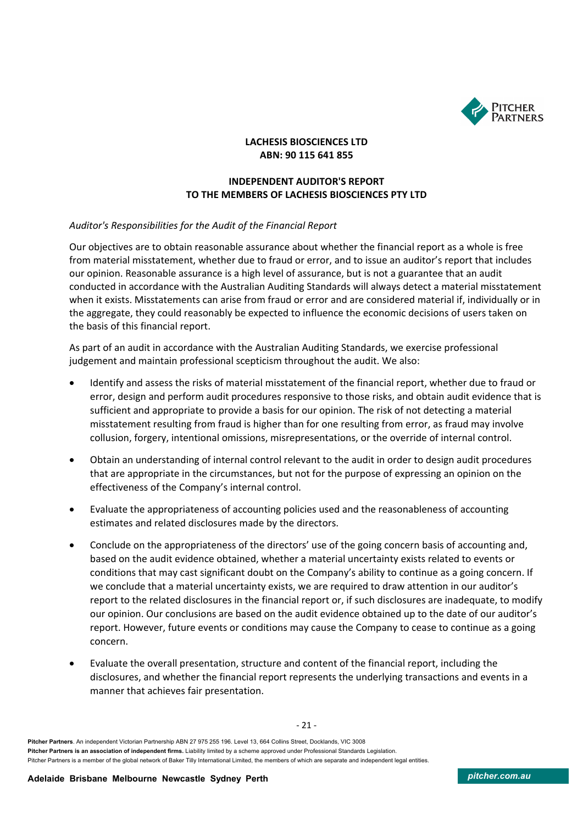

# **INDEPENDENT AUDITOR'S REPORT TO THE MEMBERS OF LACHESIS BIOSCIENCES PTY LTD**

### *Auditor's Responsibilities for the Audit of the Financial Report*

Our objectives are to obtain reasonable assurance about whether the financial report as a whole is free from material misstatement, whether due to fraud or error, and to issue an auditor's report that includes our opinion. Reasonable assurance is a high level of assurance, but is not a guarantee that an audit conducted in accordance with the Australian Auditing Standards will always detect a material misstatement when it exists. Misstatements can arise from fraud or error and are considered material if, individually or in the aggregate, they could reasonably be expected to influence the economic decisions of users taken on the basis of this financial report.

As part of an audit in accordance with the Australian Auditing Standards, we exercise professional judgement and maintain professional scepticism throughout the audit. We also:

- Identify and assess the risks of material misstatement of the financial report, whether due to fraud or error, design and perform audit procedures responsive to those risks, and obtain audit evidence that is sufficient and appropriate to provide a basis for our opinion. The risk of not detecting a material misstatement resulting from fraud is higher than for one resulting from error, as fraud may involve collusion, forgery, intentional omissions, misrepresentations, or the override of internal control.
- Obtain an understanding of internal control relevant to the audit in order to design audit procedures that are appropriate in the circumstances, but not for the purpose of expressing an opinion on the effectiveness of the Company's internal control.
- Evaluate the appropriateness of accounting policies used and the reasonableness of accounting estimates and related disclosures made by the directors.
- Conclude on the appropriateness of the directors' use of the going concern basis of accounting and, based on the audit evidence obtained, whether a material uncertainty exists related to events or conditions that may cast significant doubt on the Company's ability to continue as a going concern. If we conclude that a material uncertainty exists, we are required to draw attention in our auditor's report to the related disclosures in the financial report or, if such disclosures are inadequate, to modify our opinion. Our conclusions are based on the audit evidence obtained up to the date of our auditor's report. However, future events or conditions may cause the Company to cease to continue as a going concern.
- Evaluate the overall presentation, structure and content of the financial report, including the disclosures, and whether the financial report represents the underlying transactions and events in a manner that achieves fair presentation.

**Pitcher Partners**. An independent Victorian Partnership ABN 27 975 255 196. Level 13, 664 Collins Street, Docklands, VIC 3008 **Pitcher Partners is an association of independent firms.** Liability limited by a scheme approved under Professional Standards Legislation. Pitcher Partners is a member of the global network of Baker Tilly International Limited, the members of which are separate and independent legal entities.